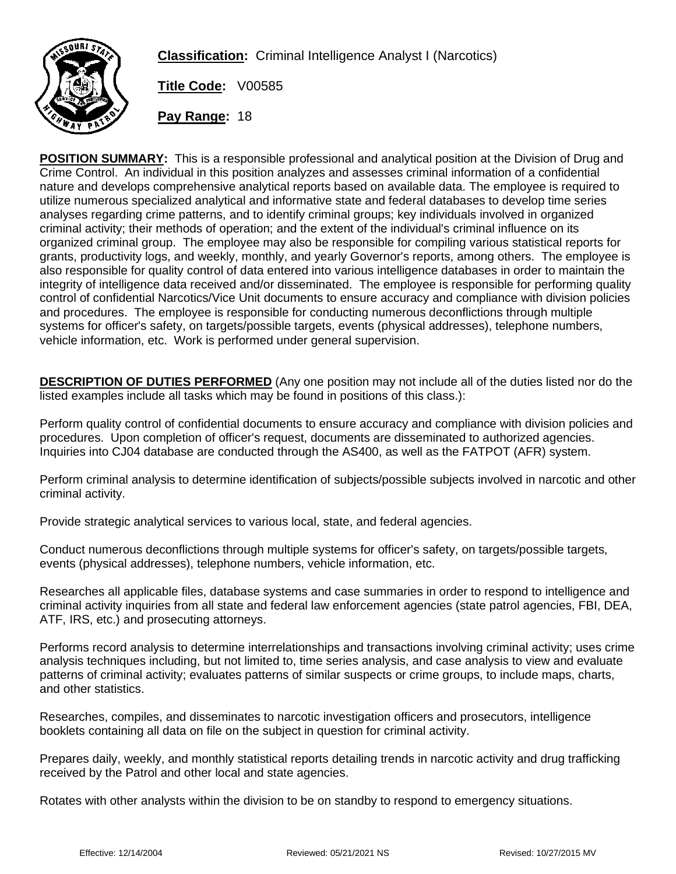

**Classification:** Criminal Intelligence Analyst I (Narcotics)

**Title Code:** V00585

**Pay Range:** 18

**POSITION SUMMARY:** This is a responsible professional and analytical position at the Division of Drug and Crime Control. An individual in this position analyzes and assesses criminal information of a confidential nature and develops comprehensive analytical reports based on available data. The employee is required to utilize numerous specialized analytical and informative state and federal databases to develop time series analyses regarding crime patterns, and to identify criminal groups; key individuals involved in organized criminal activity; their methods of operation; and the extent of the individual's criminal influence on its organized criminal group. The employee may also be responsible for compiling various statistical reports for grants, productivity logs, and weekly, monthly, and yearly Governor's reports, among others. The employee is also responsible for quality control of data entered into various intelligence databases in order to maintain the integrity of intelligence data received and/or disseminated. The employee is responsible for performing quality control of confidential Narcotics/Vice Unit documents to ensure accuracy and compliance with division policies and procedures. The employee is responsible for conducting numerous deconflictions through multiple systems for officer's safety, on targets/possible targets, events (physical addresses), telephone numbers, vehicle information, etc. Work is performed under general supervision.

**DESCRIPTION OF DUTIES PERFORMED** (Any one position may not include all of the duties listed nor do the listed examples include all tasks which may be found in positions of this class.):

Perform quality control of confidential documents to ensure accuracy and compliance with division policies and procedures. Upon completion of officer's request, documents are disseminated to authorized agencies. Inquiries into CJ04 database are conducted through the AS400, as well as the FATPOT (AFR) system.

Perform criminal analysis to determine identification of subjects/possible subjects involved in narcotic and other criminal activity.

Provide strategic analytical services to various local, state, and federal agencies.

Conduct numerous deconflictions through multiple systems for officer's safety, on targets/possible targets, events (physical addresses), telephone numbers, vehicle information, etc.

Researches all applicable files, database systems and case summaries in order to respond to intelligence and criminal activity inquiries from all state and federal law enforcement agencies (state patrol agencies, FBI, DEA, ATF, IRS, etc.) and prosecuting attorneys.

Performs record analysis to determine interrelationships and transactions involving criminal activity; uses crime analysis techniques including, but not limited to, time series analysis, and case analysis to view and evaluate patterns of criminal activity; evaluates patterns of similar suspects or crime groups, to include maps, charts, and other statistics.

Researches, compiles, and disseminates to narcotic investigation officers and prosecutors, intelligence booklets containing all data on file on the subject in question for criminal activity.

Prepares daily, weekly, and monthly statistical reports detailing trends in narcotic activity and drug trafficking received by the Patrol and other local and state agencies.

Rotates with other analysts within the division to be on standby to respond to emergency situations.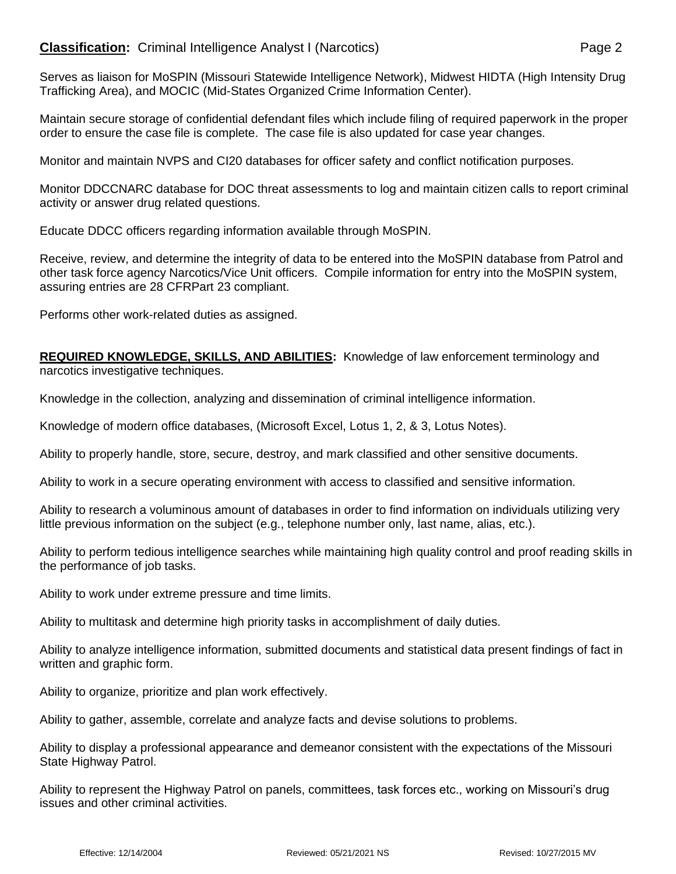## **Classification:** Criminal Intelligence Analyst I (Narcotics) **Page 2** Page 2

Serves as liaison for MoSPIN (Missouri Statewide Intelligence Network), Midwest HIDTA (High Intensity Drug Trafficking Area), and MOCIC (Mid-States Organized Crime Information Center).

Maintain secure storage of confidential defendant files which include filing of required paperwork in the proper order to ensure the case file is complete. The case file is also updated for case year changes.

Monitor and maintain NVPS and CI20 databases for officer safety and conflict notification purposes.

Monitor DDCCNARC database for DOC threat assessments to log and maintain citizen calls to report criminal activity or answer drug related questions.

Educate DDCC officers regarding information available through MoSPIN.

Receive, review, and determine the integrity of data to be entered into the MoSPIN database from Patrol and other task force agency Narcotics/Vice Unit officers. Compile information for entry into the MoSPIN system, assuring entries are 28 CFRPart 23 compliant.

Performs other work-related duties as assigned.

**REQUIRED KNOWLEDGE, SKILLS, AND ABILITIES:** Knowledge of law enforcement terminology and narcotics investigative techniques.

Knowledge in the collection, analyzing and dissemination of criminal intelligence information.

Knowledge of modern office databases, (Microsoft Excel, Lotus 1, 2, & 3, Lotus Notes).

Ability to properly handle, store, secure, destroy, and mark classified and other sensitive documents.

Ability to work in a secure operating environment with access to classified and sensitive information.

Ability to research a voluminous amount of databases in order to find information on individuals utilizing very little previous information on the subject (e.g., telephone number only, last name, alias, etc.).

Ability to perform tedious intelligence searches while maintaining high quality control and proof reading skills in the performance of job tasks.

Ability to work under extreme pressure and time limits.

Ability to multitask and determine high priority tasks in accomplishment of daily duties.

Ability to analyze intelligence information, submitted documents and statistical data present findings of fact in written and graphic form.

Ability to organize, prioritize and plan work effectively.

Ability to gather, assemble, correlate and analyze facts and devise solutions to problems.

Ability to display a professional appearance and demeanor consistent with the expectations of the Missouri State Highway Patrol.

Ability to represent the Highway Patrol on panels, committees, task forces etc., working on Missouri's drug issues and other criminal activities.